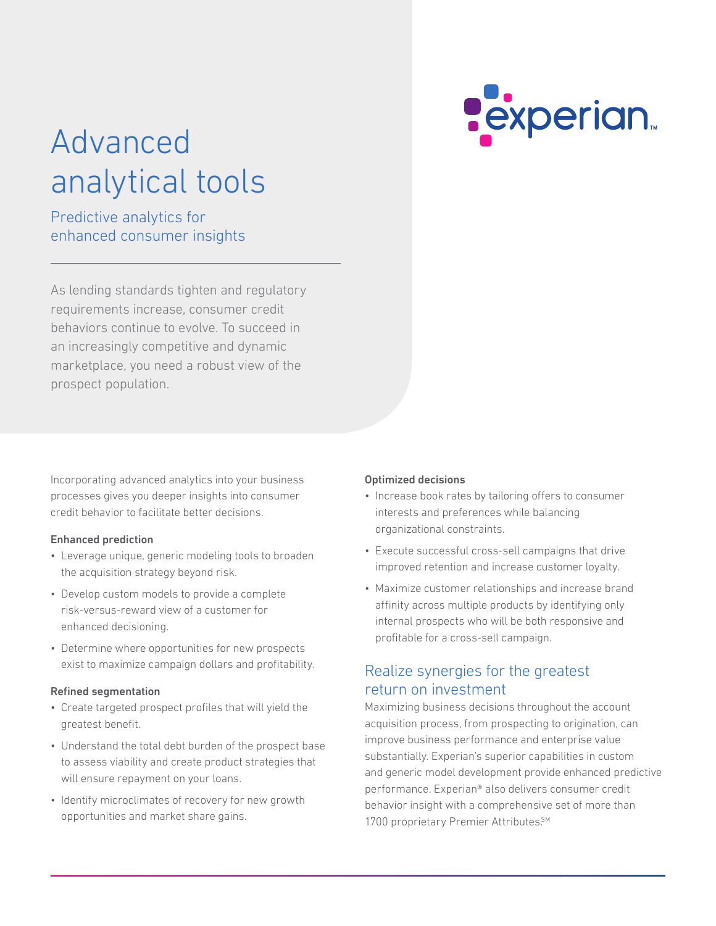# **Pexperian**

# Advanced analytical tools

# Predictive analytics for enhanced consumer insights

As lending standards tighten and regulatory requirements increase, consumer credit behaviors continue to evolve. To succeed in an increasingly competitive and dynamic marketplace, you need a robust view of the prospect population.

Incorporating advanced analytics into your business processes gives you deeper insights into consumer credit behavior to facilitate better decisions.

#### Enhanced prediction

- Leverage unique, generic modeling tools to broaden the acquisition strategy beyond risk.
- Develop custom models to provide a complete risk-versus-reward view of a customer for enhanced decisioning.
- Determine where opportunities for new prospects exist to maximize campaign dollars and profitability.

#### Refined segmentation

- Create targeted prospect profiles that will yield the greatest benefit.
- Understand the total debt burden of the prospect base to assess viability and create product strategies that will ensure repayment on your loans.
- Identify microclimates of recovery for new growth opportunities and market share gains.

#### Optimized decisions

- Increase book rates by tailoring offers to consumer interests and preferences while balancing organizational constraints.
- Execute successful cross-sell campaigns that drive improved retention and increase customer loyalty.
- Maximize customer relationships and increase brand affinity across multiple products by identifying only internal prospects who will be both responsive and profitable for a cross-sell campaign.

### Realize synergies for the greatest return on investment

Maximizing business decisions throughout the account acquisition process, from prospecting to origination, can improve business performance and enterprise value substantially. Experian's superior capabilities in custom and generic model development provide enhanced predictive performance. Experian® also delivers consumer credit behavior insight with a comprehensive set of more than 1700 proprietary Premier Attributes.<sup>SM</sup>